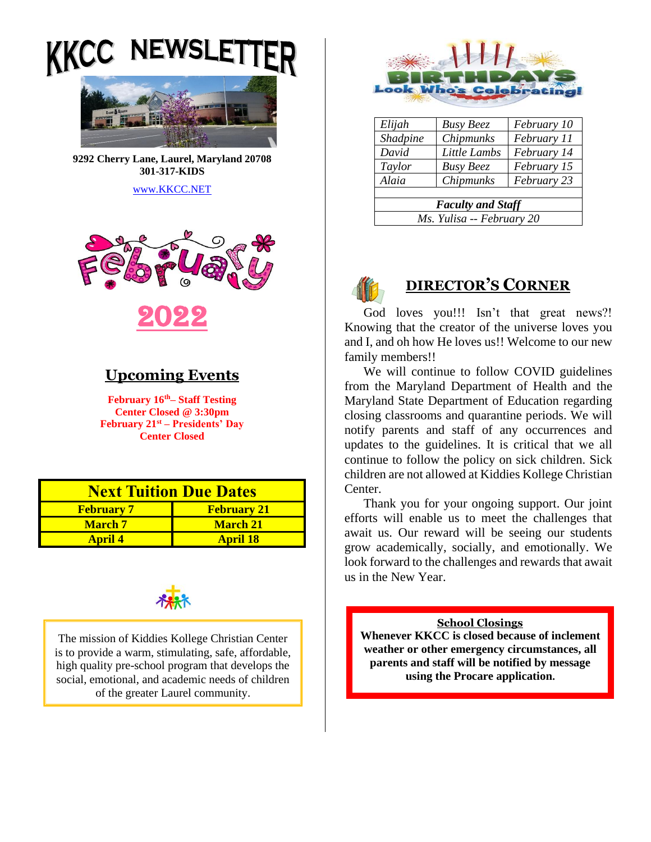**IEWS** 



**9292 Cherry Lane, Laurel, Maryland 20708 301-317-KIDS** 

[www.KKCC.NET](http://www.kkcc.net/)



# **Upcoming Events**

**February 16th– Staff Testing Center Closed @ 3:30pm February 21st – Presidents' Day Center Closed**

| <b>Next Tuition Due Dates</b> |                    |  |
|-------------------------------|--------------------|--|
| <b>February 7</b>             | <b>February 21</b> |  |
| <b>March</b> 7                | <b>March 21</b>    |  |
| <b>April 4</b>                | <b>April 18</b>    |  |



The mission of Kiddies Kollege Christian Center is to provide a warm, stimulating, safe, affordable, high quality pre-school program that develops the social, emotional, and academic needs of children of the greater Laurel community.



| Elijah                    | <b>Busy Beez</b> | February 10 |
|---------------------------|------------------|-------------|
| Shadpine                  | Chipmunks        | February 11 |
| David                     | Little Lambs     | February 14 |
| Taylor                    | <b>Busy Beez</b> | February 15 |
| Alaia                     | Chipmunks        | February 23 |
|                           |                  |             |
| <b>Faculty and Staff</b>  |                  |             |
| Ms. Yulisa -- February 20 |                  |             |



## **DIRECTOR'S CORNER**

God loves you!!! Isn't that great news?! Knowing that the creator of the universe loves you and I, and oh how He loves us!! Welcome to our new family members!!

We will continue to follow COVID guidelines from the Maryland Department of Health and the Maryland State Department of Education regarding closing classrooms and quarantine periods. We will notify parents and staff of any occurrences and updates to the guidelines. It is critical that we all continue to follow the policy on sick children. Sick children are not allowed at Kiddies Kollege Christian Center.

Thank you for your ongoing support. Our joint efforts will enable us to meet the challenges that await us. Our reward will be seeing our students grow academically, socially, and emotionally. We look forward to the challenges and rewards that await us in the New Year.

#### **School Closings**

**Whenever KKCC is closed because of inclement weather or other emergency circumstances, all parents and staff will be notified by message using the Procare application.**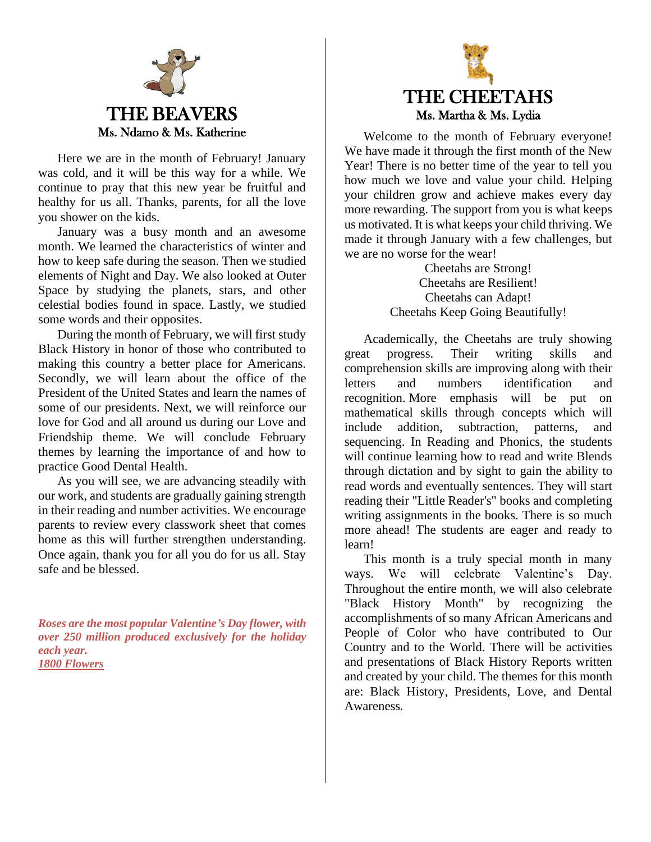

Here we are in the month of February! January was cold, and it will be this way for a while. We continue to pray that this new year be fruitful and healthy for us all. Thanks, parents, for all the love you shower on the kids.

January was a busy month and an awesome month. We learned the characteristics of winter and how to keep safe during the season. Then we studied elements of Night and Day. We also looked at Outer Space by studying the planets, stars, and other celestial bodies found in space. Lastly, we studied some words and their opposites.

During the month of February, we will first study Black History in honor of those who contributed to making this country a better place for Americans. Secondly, we will learn about the office of the President of the United States and learn the names of some of our presidents. Next, we will reinforce our love for God and all around us during our Love and Friendship theme. We will conclude February themes by learning the importance of and how to practice Good Dental Health.

As you will see, we are advancing steadily with our work, and students are gradually gaining strength in their reading and number activities. We encourage parents to review every classwork sheet that comes home as this will further strengthen understanding. Once again, thank you for all you do for us all. Stay safe and be blessed.

*Roses are the most popular Valentine's Day flower, with over 250 million produced exclusively for the holiday each year. [1800 Flowers](https://www.1800flowers.com/blog/flower-facts/valentines-day-fun-facts/#:~:text=Valentine%E2%80%99s%20Day%20Facts%3A%201%20Every%20year%2C%20more%20than,receiving%20anything%20from%20a%20lover%20on%20Valentine%E2%80%99s%20Day.)*



Welcome to the month of February everyone! We have made it through the first month of the New Year! There is no better time of the year to tell you how much we love and value your child. Helping your children grow and achieve makes every day more rewarding. The support from you is what keeps us motivated. It is what keeps your child thriving. We made it through January with a few challenges, but we are no worse for the wear!

> Cheetahs are Strong! Cheetahs are Resilient! Cheetahs can Adapt! Cheetahs Keep Going Beautifully!

Academically, the Cheetahs are truly showing great progress. Their writing skills and comprehension skills are improving along with their letters and numbers identification and recognition. More emphasis will be put on mathematical skills through concepts which will include addition, subtraction, patterns, and sequencing. In Reading and Phonics, the students will continue learning how to read and write Blends through dictation and by sight to gain the ability to read words and eventually sentences. They will start reading their "Little Reader's" books and completing writing assignments in the books. There is so much more ahead! The students are eager and ready to learn!

This month is a truly special month in many ways. We will celebrate Valentine's Day. Throughout the entire month, we will also celebrate "Black History Month" by recognizing the accomplishments of so many African Americans and People of Color who have contributed to Our Country and to the World. There will be activities and presentations of Black History Reports written and created by your child. The themes for this month are: Black History, Presidents, Love, and Dental Awareness.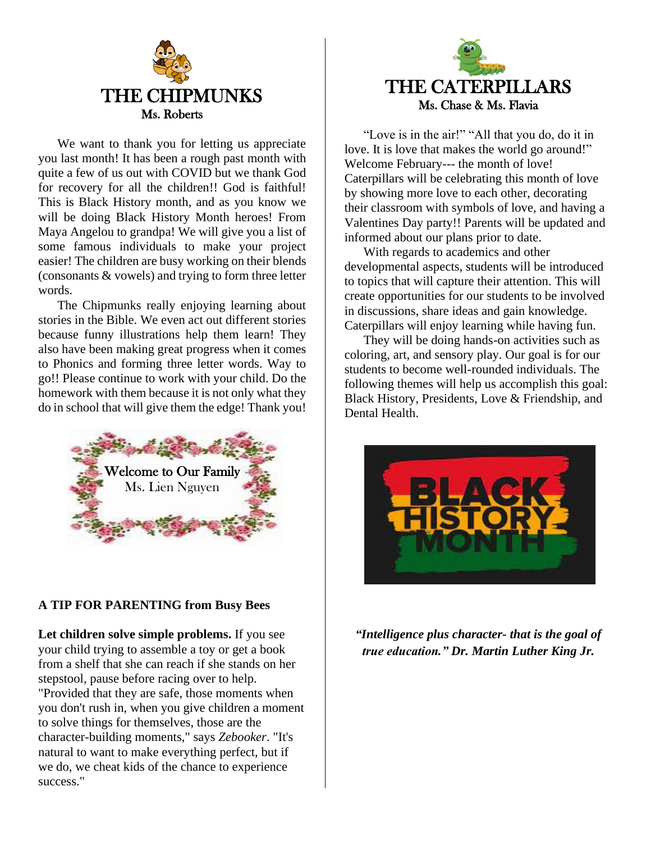

We want to thank you for letting us appreciate you last month! It has been a rough past month with quite a few of us out with COVID but we thank God for recovery for all the children!! God is faithful! This is Black History month, and as you know we will be doing Black History Month heroes! From Maya Angelou to grandpa! We will give you a list of some famous individuals to make your project easier! The children are busy working on their blends (consonants & vowels) and trying to form three letter words.

The Chipmunks really enjoying learning about stories in the Bible. We even act out different stories because funny illustrations help them learn! They also have been making great progress when it comes to Phonics and forming three letter words. Way to go!! Please continue to work with your child. Do the homework with them because it is not only what they do in school that will give them the edge! Thank you!



### **A TIP FOR PARENTING from Busy Bees**

**Let children solve simple problems.** If you see your child trying to assemble a toy or get a book from a shelf that she can reach if she stands on her stepstool, pause before racing over to help. "Provided that they are safe, those moments when you don't rush in, when you give children a moment to solve things for themselves, those are the character-building moments," says *Zebooker*. "It's natural to want to make everything perfect, but if we do, we cheat kids of the chance to experience success."



"Love is in the air!" "All that you do, do it in love. It is love that makes the world go around!" Welcome February--- the month of love! Caterpillars will be celebrating this month of love by showing more love to each other, decorating their classroom with symbols of love, and having a Valentines Day party!! Parents will be updated and informed about our plans prior to date.

With regards to academics and other developmental aspects, students will be introduced to topics that will capture their attention. This will create opportunities for our students to be involved in discussions, share ideas and gain knowledge. Caterpillars will enjoy learning while having fun.

They will be doing hands-on activities such as coloring, art, and sensory play. Our goal is for our students to become well-rounded individuals. The following themes will help us accomplish this goal: Black History, Presidents, Love & Friendship, and Dental Health.



*"Intelligence plus character- that is the goal of true education." Dr. Martin Luther King Jr.*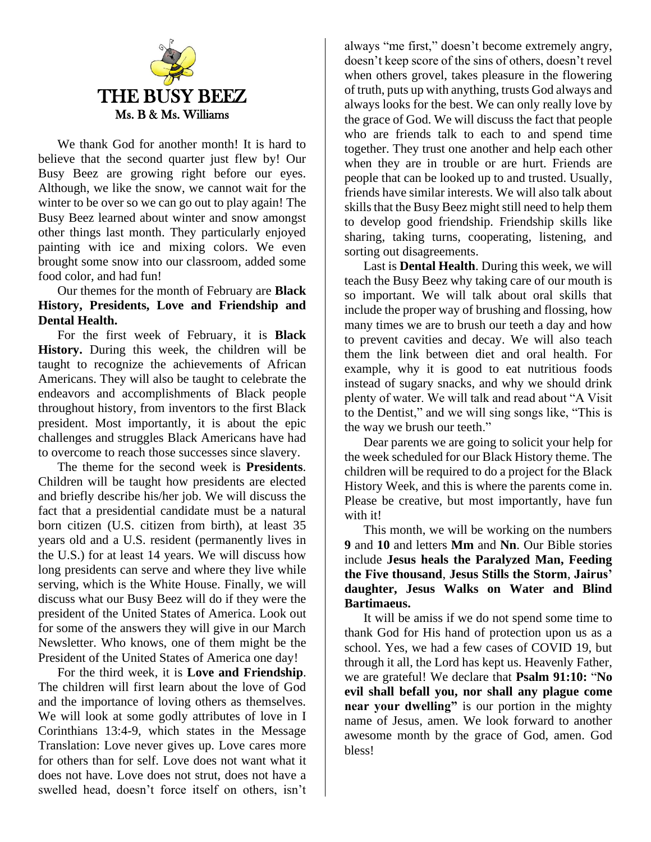

We thank God for another month! It is hard to believe that the second quarter just flew by! Our Busy Beez are growing right before our eyes. Although, we like the snow, we cannot wait for the winter to be over so we can go out to play again! The Busy Beez learned about winter and snow amongst other things last month. They particularly enjoyed painting with ice and mixing colors. We even brought some snow into our classroom, added some food color, and had fun!

Our themes for the month of February are **Black History, Presidents, Love and Friendship and Dental Health.** 

For the first week of February, it is **Black History.** During this week, the children will be taught to recognize the achievements of African Americans. They will also be taught to celebrate the endeavors and accomplishments of Black people throughout history, from inventors to the first Black president. Most importantly, it is about the epic challenges and struggles Black Americans have had to overcome to reach those successes since slavery.

The theme for the second week is **Presidents**. Children will be taught how presidents are elected and briefly describe his/her job. We will discuss the fact that a presidential candidate must be a natural born citizen (U.S. citizen from birth), at least 35 years old and a U.S. resident (permanently lives in the U.S.) for at least 14 years. We will discuss how long presidents can serve and where they live while serving, which is the White House. Finally, we will discuss what our Busy Beez will do if they were the president of the United States of America. Look out for some of the answers they will give in our March Newsletter. Who knows, one of them might be the President of the United States of America one day!

For the third week, it is **Love and Friendship**. The children will first learn about the love of God and the importance of loving others as themselves. We will look at some godly attributes of love in I Corinthians 13:4-9, which states in the Message Translation: Love never gives up. Love cares more for others than for self. Love does not want what it does not have. Love does not strut, does not have a swelled head, doesn't force itself on others, isn't

always "me first," doesn't become extremely angry, doesn't keep score of the sins of others, doesn't revel when others grovel, takes pleasure in the flowering of truth, puts up with anything, trusts God always and always looks for the best. We can only really love by the grace of God. We will discuss the fact that people who are friends talk to each to and spend time together. They trust one another and help each other when they are in trouble or are hurt. Friends are people that can be looked up to and trusted. Usually, friends have similar interests. We will also talk about skills that the Busy Beez might still need to help them to develop good friendship. Friendship skills like sharing, taking turns, cooperating, listening, and sorting out disagreements.

Last is **Dental Health**. During this week, we will teach the Busy Beez why taking care of our mouth is so important. We will talk about oral skills that include the proper way of brushing and flossing, how many times we are to brush our teeth a day and how to prevent cavities and decay. We will also teach them the link between diet and oral health. For example, why it is good to eat nutritious foods instead of sugary snacks, and why we should drink plenty of water. We will talk and read about "A Visit to the Dentist," and we will sing songs like, "This is the way we brush our teeth."

Dear parents we are going to solicit your help for the week scheduled for our Black History theme. The children will be required to do a project for the Black History Week, and this is where the parents come in. Please be creative, but most importantly, have fun with it!

This month, we will be working on the numbers **9** and **10** and letters **Mm** and **Nn**. Our Bible stories include **Jesus heals the Paralyzed Man, Feeding the Five thousand**, **Jesus Stills the Storm**, **Jairus' daughter, Jesus Walks on Water and Blind Bartimaeus.**

It will be amiss if we do not spend some time to thank God for His hand of protection upon us as a school. Yes, we had a few cases of COVID 19, but through it all, the Lord has kept us. Heavenly Father, we are grateful! We declare that **Psalm 91:10:** "**No evil shall befall you, nor shall any plague come near your dwelling"** is our portion in the mighty name of Jesus, amen. We look forward to another awesome month by the grace of God, amen. God bless!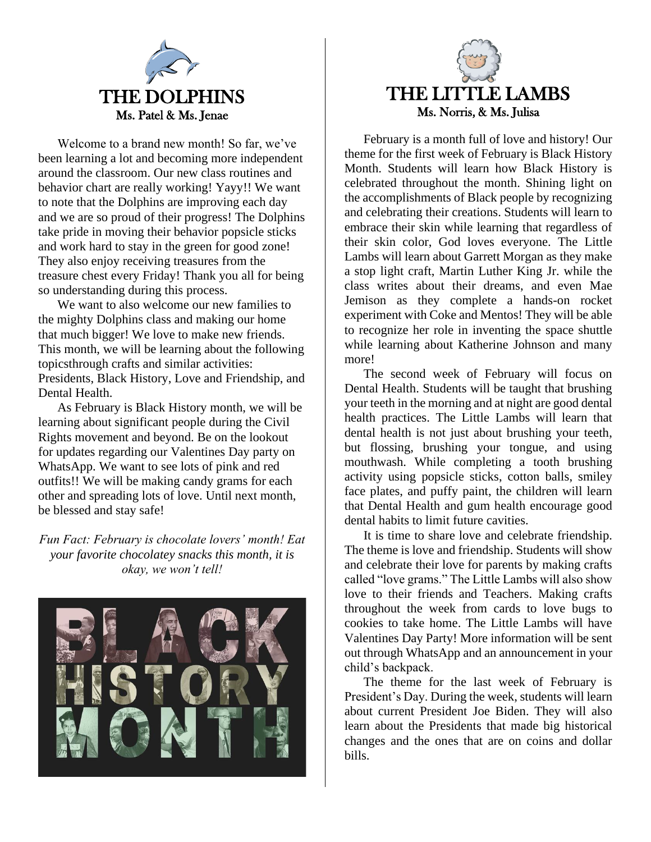

Welcome to a brand new month! So far, we've been learning a lot and becoming more independent around the classroom. Our new class routines and behavior chart are really working! Yayy!! We want to note that the Dolphins are improving each day and we are so proud of their progress! The Dolphins take pride in moving their behavior popsicle sticks and work hard to stay in the green for good zone! They also enjoy receiving treasures from the treasure chest every Friday! Thank you all for being so understanding during this process.

We want to also welcome our new families to the mighty Dolphins class and making our home that much bigger! We love to make new friends. This month, we will be learning about the following topicsthrough crafts and similar activities: Presidents, Black History, Love and Friendship, and Dental Health.

As February is Black History month, we will be learning about significant people during the Civil Rights movement and beyond. Be on the lookout for updates regarding our Valentines Day party on WhatsApp. We want to see lots of pink and red outfits!! We will be making candy grams for each other and spreading lots of love. Until next month, be blessed and stay safe!

*Fun Fact: February is chocolate lovers' month! Eat your favorite chocolatey snacks this month, it is okay, we won't tell!*





February is a month full of love and history! Our theme for the first week of February is Black History Month. Students will learn how Black History is celebrated throughout the month. Shining light on the accomplishments of Black people by recognizing and celebrating their creations. Students will learn to embrace their skin while learning that regardless of their skin color, God loves everyone. The Little Lambs will learn about Garrett Morgan as they make a stop light craft, Martin Luther King Jr. while the class writes about their dreams, and even Mae Jemison as they complete a hands-on rocket experiment with Coke and Mentos! They will be able to recognize her role in inventing the space shuttle while learning about Katherine Johnson and many more!

The second week of February will focus on Dental Health. Students will be taught that brushing your teeth in the morning and at night are good dental health practices. The Little Lambs will learn that dental health is not just about brushing your teeth, but flossing, brushing your tongue, and using mouthwash. While completing a tooth brushing activity using popsicle sticks, cotton balls, smiley face plates, and puffy paint, the children will learn that Dental Health and gum health encourage good dental habits to limit future cavities.

It is time to share love and celebrate friendship. The theme is love and friendship. Students will show and celebrate their love for parents by making crafts called "love grams." The Little Lambs will also show love to their friends and Teachers. Making crafts throughout the week from cards to love bugs to cookies to take home. The Little Lambs will have Valentines Day Party! More information will be sent out through WhatsApp and an announcement in your child's backpack.

The theme for the last week of February is President's Day. During the week, students will learn about current President Joe Biden. They will also learn about the Presidents that made big historical changes and the ones that are on coins and dollar bills.